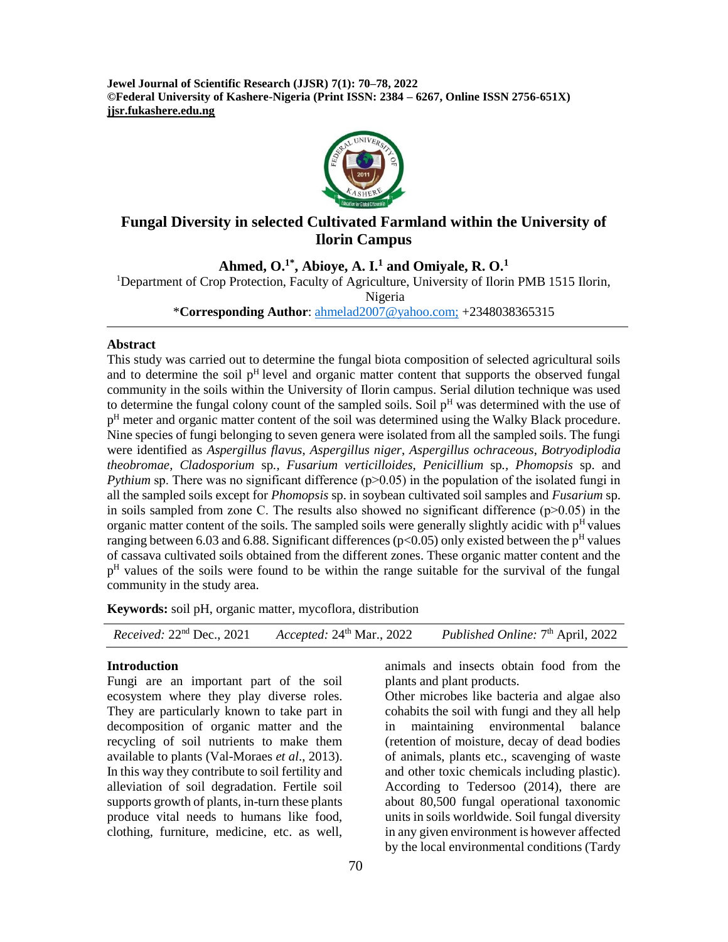**Jewel Journal of Scientific Research (JJSR) 7(1): 70–78, 2022 ©Federal University of Kashere-Nigeria (Print ISSN: 2384 – 6267, Online ISSN 2756-651X) jjsr.fukashere.edu.ng**



# **Fungal Diversity in selected Cultivated Farmland within the University of Ilorin Campus**

**Ahmed, O. 1\*, Abioye, A. I. <sup>1</sup> and Omiyale, R. O. 1**

<sup>1</sup>Department of Crop Protection, Faculty of Agriculture, University of Ilorin PMB 1515 Ilorin,

Nigeria

\***Corresponding Author**: [ahmelad2007@yahoo.com;](mailto:ahmelad2007@yahoo.com) +2348038365315

#### **Abstract**

This study was carried out to determine the fungal biota composition of selected agricultural soils and to determine the soil  $p<sup>H</sup>$  level and organic matter content that supports the observed fungal community in the soils within the University of Ilorin campus. Serial dilution technique was used to determine the fungal colony count of the sampled soils. Soil  $p<sup>H</sup>$  was determined with the use of p<sup>H</sup> meter and organic matter content of the soil was determined using the Walky Black procedure. Nine species of fungi belonging to seven genera were isolated from all the sampled soils. The fungi were identified as *Aspergillus flavus*, *Aspergillus niger*, *Aspergillus ochraceous*, *Botryodiplodia theobromae, Cladosporium* sp*., Fusarium verticilloides, Penicillium* sp*., Phomopsis* sp. and *Pythium* sp. There was no significant difference  $(p>0.05)$  in the population of the isolated fungi in all the sampled soils except for *Phomopsis* sp. in soybean cultivated soil samples and *Fusarium* sp. in soils sampled from zone C. The results also showed no significant difference  $(p>0.05)$  in the organic matter content of the soils. The sampled soils were generally slightly acidic with  $p<sup>H</sup>$  values ranging between 6.03 and 6.88. Significant differences ( $p<0.05$ ) only existed between the  $p<sup>H</sup>$  values of cassava cultivated soils obtained from the different zones. These organic matter content and the p<sup>H</sup> values of the soils were found to be within the range suitable for the survival of the fungal community in the study area.

**Keywords:** soil pH, organic matter, mycoflora, distribution

| <i>Received:</i> $22nd$ Dec., $2021$ | Accepted: $24th$ Mar., 2022 | Published Online: $7th$ April, 2022 |
|--------------------------------------|-----------------------------|-------------------------------------|
|--------------------------------------|-----------------------------|-------------------------------------|

#### **Introduction**

Fungi are an important part of the soil ecosystem where they play diverse roles. They are particularly known to take part in decomposition of organic matter and the recycling of soil nutrients to make them available to plants (Val-Moraes *et al*., 2013). In this way they contribute to soil fertility and alleviation of soil degradation. Fertile soil supports growth of plants, in-turn these plants produce vital needs to humans like food, clothing, furniture, medicine, etc. as well,

animals and insects obtain food from the plants and plant products.

Other microbes like bacteria and algae also cohabits the soil with fungi and they all help in maintaining environmental balance (retention of moisture, decay of dead bodies of animals, plants etc., scavenging of waste and other toxic chemicals including plastic). According to Tedersoo (2014), there are about 80,500 fungal operational taxonomic units in soils worldwide. Soil fungal diversity in any given environment is however affected by the local environmental conditions (Tardy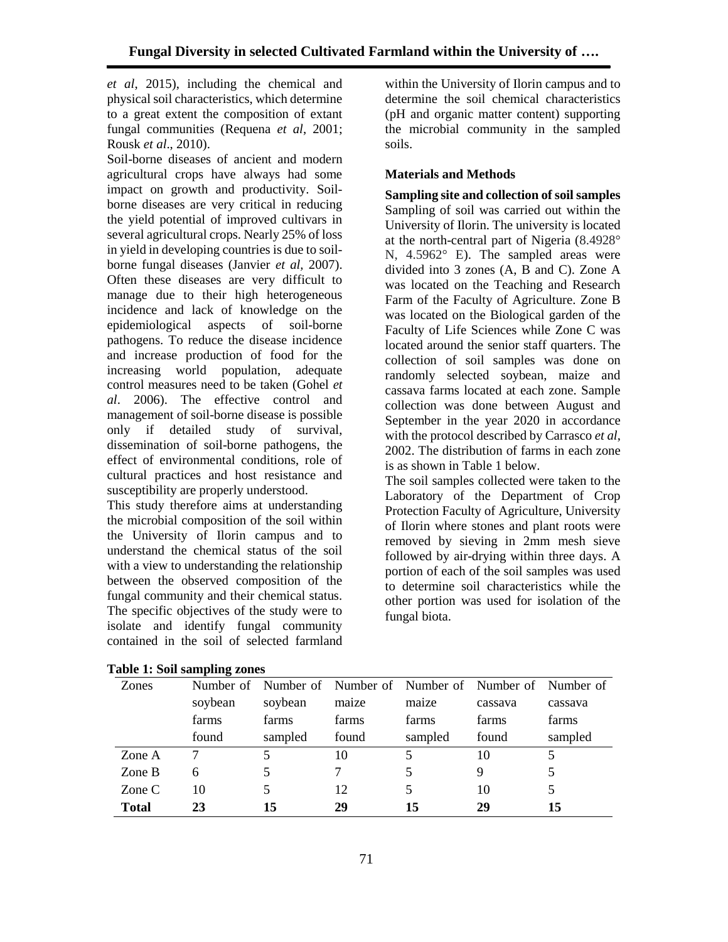*et al*, 2015), including the chemical and physical soil characteristics, which determine to a great extent the composition of extant fungal communities (Requena *et al*, 2001; Rousk *et al*., 2010).

Soil-borne diseases of ancient and modern agricultural crops have always had some impact on growth and productivity. Soilborne diseases are very critical in reducing the yield potential of improved cultivars in several agricultural crops. Nearly 25% of loss in yield in developing countries is due to soilborne fungal diseases (Janvier *et al,* 2007). Often these diseases are very difficult to manage due to their high heterogeneous incidence and lack of knowledge on the epidemiological aspects of soil-borne pathogens. To reduce the disease incidence and increase production of food for the increasing world population, adequate control measures need to be taken (Gohel *et al*. 2006). The effective control and management of soil-borne disease is possible only if detailed study of survival, dissemination of soil-borne pathogens, the effect of environmental conditions, role of cultural practices and host resistance and susceptibility are properly understood.

This study therefore aims at understanding the microbial composition of the soil within the University of Ilorin campus and to understand the chemical status of the soil with a view to understanding the relationship between the observed composition of the fungal community and their chemical status. The specific objectives of the study were to isolate and identify fungal community contained in the soil of selected farmland within the University of Ilorin campus and to determine the soil chemical characteristics (pH and organic matter content) supporting the microbial community in the sampled soils.

# **Materials and Methods**

**Sampling site and collection of soil samples** Sampling of soil was carried out within the University of Ilorin. The university is located at the north-central part of Nigeria (8.4928° N, 4.5962° E). The sampled areas were divided into 3 zones (A, B and C). Zone A was located on the Teaching and Research Farm of the Faculty of Agriculture. Zone B was located on the Biological garden of the Faculty of Life Sciences while Zone C was located around the senior staff quarters. The collection of soil samples was done on randomly selected soybean, maize and cassava farms located at each zone. Sample collection was done between August and September in the year 2020 in accordance with the protocol described by Carrasco *et al*, 2002. The distribution of farms in each zone is as shown in Table 1 below.

The soil samples collected were taken to the Laboratory of the Department of Crop Protection Faculty of Agriculture, University of Ilorin where stones and plant roots were removed by sieving in 2mm mesh sieve followed by air-drying within three days. A portion of each of the soil samples was used to determine soil characteristics while the other portion was used for isolation of the fungal biota.

| Zones        |         | Number of Number of Number of Number of Number of Number of |       |         |         |         |
|--------------|---------|-------------------------------------------------------------|-------|---------|---------|---------|
|              | soybean | soybean                                                     | maize | maize   | cassava | cassava |
|              | farms   | farms                                                       | farms | farms   | farms   | farms   |
|              | found   | sampled                                                     | found | sampled | found   | sampled |
| Zone A       |         | 5                                                           | 10    | 5       | 10      |         |
| Zone B       | 6       |                                                             |       | 5.      | 9       |         |
| Zone $C$     | 10      |                                                             | 12    | 5       | 10      |         |
| <b>Total</b> | 23      | 15                                                          | 29    | 15      | 29      | 15      |

|  |  |  |  |  |  | <b>Table 1: Soil sampling zones</b> |
|--|--|--|--|--|--|-------------------------------------|
|--|--|--|--|--|--|-------------------------------------|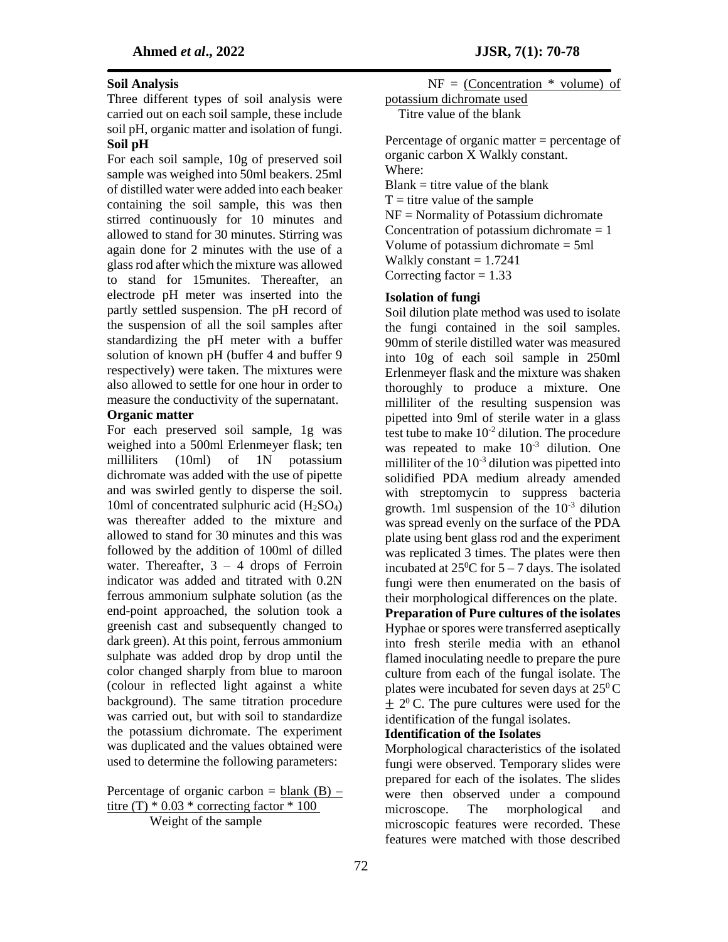### **Soil Analysis**

Three different types of soil analysis were carried out on each soil sample, these include soil pH, organic matter and isolation of fungi. **Soil pH** 

For each soil sample, 10g of preserved soil sample was weighed into 50ml beakers. 25ml of distilled water were added into each beaker containing the soil sample, this was then stirred continuously for 10 minutes and allowed to stand for 30 minutes. Stirring was again done for 2 minutes with the use of a glass rod after which the mixture was allowed to stand for 15munites. Thereafter, an electrode pH meter was inserted into the partly settled suspension. The pH record of the suspension of all the soil samples after standardizing the pH meter with a buffer solution of known pH (buffer 4 and buffer 9 respectively) were taken. The mixtures were also allowed to settle for one hour in order to measure the conductivity of the supernatant.

#### **Organic matter**

For each preserved soil sample, 1g was weighed into a 500ml Erlenmeyer flask; ten milliliters (10ml) of 1N potassium dichromate was added with the use of pipette and was swirled gently to disperse the soil. 10ml of concentrated sulphuric acid  $(H<sub>2</sub>SO<sub>4</sub>)$ was thereafter added to the mixture and allowed to stand for 30 minutes and this was followed by the addition of 100ml of dilled water. Thereafter,  $3 - 4$  drops of Ferroin indicator was added and titrated with 0.2N ferrous ammonium sulphate solution (as the end-point approached, the solution took a greenish cast and subsequently changed to dark green). At this point, ferrous ammonium sulphate was added drop by drop until the color changed sharply from blue to maroon (colour in reflected light against a white background). The same titration procedure was carried out, but with soil to standardize the potassium dichromate. The experiment was duplicated and the values obtained were used to determine the following parameters:

Percentage of organic carbon = blank  $(B)$  – titre (T)  $*$  0.03  $*$  correcting factor  $*$  100 Weight of the sample

 $NF = (Concentration * volume) of$ potassium dichromate used

Titre value of the blank

Percentage of organic matter = percentage of organic carbon X Walkly constant. Where:  $Blank =$  titre value of the blank  $T =$  titre value of the sample NF = Normality of Potassium dichromate Concentration of potassium dichromate  $= 1$ Volume of potassium dichromate = 5ml Walkly constant  $= 1.7241$ Correcting factor  $= 1.33$ 

### **Isolation of fungi**

Soil dilution plate method was used to isolate the fungi contained in the soil samples. 90mm of sterile distilled water was measured into 10g of each soil sample in 250ml Erlenmeyer flask and the mixture was shaken thoroughly to produce a mixture. One milliliter of the resulting suspension was pipetted into 9ml of sterile water in a glass test tube to make  $10^{-2}$  dilution. The procedure was repeated to make  $10^{-3}$  dilution. One milliliter of the  $10^{-3}$  dilution was pipetted into solidified PDA medium already amended with streptomycin to suppress bacteria growth. 1ml suspension of the  $10^{-3}$  dilution was spread evenly on the surface of the PDA plate using bent glass rod and the experiment was replicated 3 times. The plates were then incubated at  $25^{\circ}$ C for  $5 - 7$  days. The isolated fungi were then enumerated on the basis of their morphological differences on the plate. **Preparation of Pure cultures of the isolates**  Hyphae or spores were transferred aseptically into fresh sterile media with an ethanol flamed inoculating needle to prepare the pure culture from each of the fungal isolate. The plates were incubated for seven days at  $25^{\circ}$ C  $\pm 2^0$  C. The pure cultures were used for the identification of the fungal isolates.

### **Identification of the Isolates**

Morphological characteristics of the isolated fungi were observed. Temporary slides were prepared for each of the isolates. The slides were then observed under a compound microscope. The morphological and microscopic features were recorded. These features were matched with those described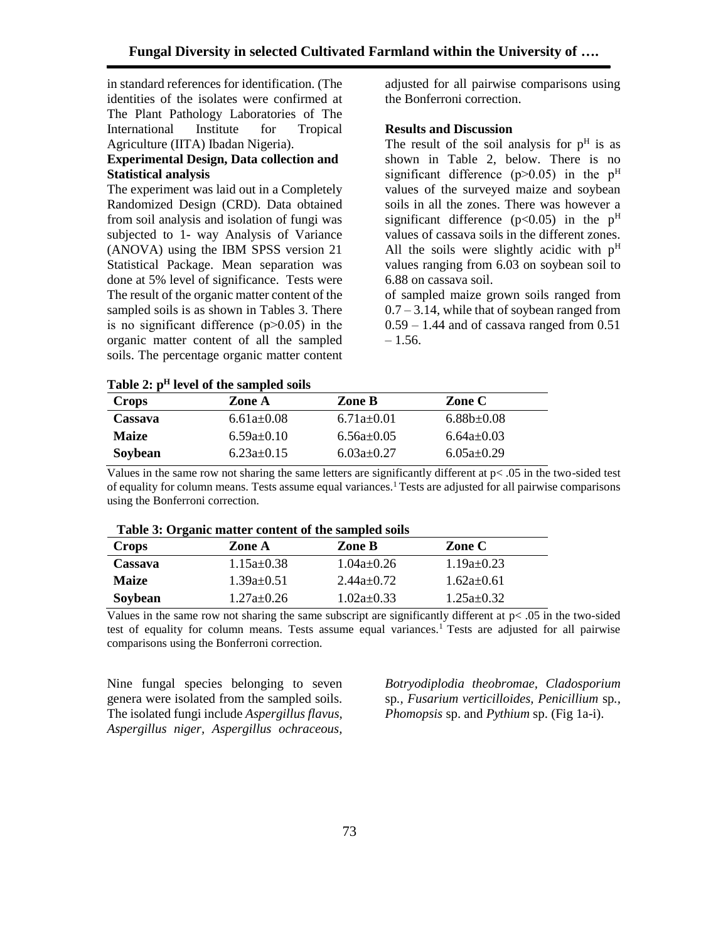in standard references for identification. (The identities of the isolates were confirmed at The Plant Pathology Laboratories of The International Institute for Tropical Agriculture (IITA) Ibadan Nigeria).

### **Experimental Design, Data collection and Statistical analysis**

The experiment was laid out in a Completely Randomized Design (CRD). Data obtained from soil analysis and isolation of fungi was subjected to 1- way Analysis of Variance (ANOVA) using the IBM SPSS version 21 Statistical Package. Mean separation was done at 5% level of significance. Tests were The result of the organic matter content of the sampled soils is as shown in Tables 3. There is no significant difference  $(p>0.05)$  in the organic matter content of all the sampled soils. The percentage organic matter content adjusted for all pairwise comparisons using the Bonferroni correction.

#### **Results and Discussion**

The result of the soil analysis for  $p<sup>H</sup>$  is as shown in Table 2, below. There is no significant difference ( $p > 0.05$ ) in the  $p<sup>H</sup>$ values of the surveyed maize and soybean soils in all the zones. There was however a significant difference ( $p<0.05$ ) in the  $p<sup>H</sup>$ values of cassava soils in the different zones. All the soils were slightly acidic with  $p<sup>H</sup>$ values ranging from 6.03 on soybean soil to 6.88 on cassava soil.

of sampled maize grown soils ranged from  $0.7 - 3.14$ , while that of soybean ranged from  $0.59 - 1.44$  and of cassava ranged from  $0.51$  $-1.56.$ 

| --------     |              |              |                  |  |
|--------------|--------------|--------------|------------------|--|
| <b>Crops</b> | Zone A       | Zone B       | Zone C           |  |
| Cassava      | $6.61a+0.08$ | $6.71a+0.01$ | $6.88b \pm 0.08$ |  |
| <b>Maize</b> | $6.59a+0.10$ | $6.56a+0.05$ | $6.64a+0.03$     |  |
| Soybean      | $6.23a+0.15$ | $6.03a+0.27$ | $6.05a+0.29$     |  |

**Table 2: p<sup>H</sup> level of the sampled soils**

Values in the same row not sharing the same letters are significantly different at p< .05 in the two-sided test of equality for column means. Tests assume equal variances.<sup>1</sup> Tests are adjusted for all pairwise comparisons using the Bonferroni correction.

| <b>Table 3: Organic matter content of the sampled soils</b> |                  |                  |                  |  |  |  |
|-------------------------------------------------------------|------------------|------------------|------------------|--|--|--|
| Crops                                                       | Zone A           | Zone B           | Zone C           |  |  |  |
| Cassava                                                     | $1.15a+0.38$     | $1.04a+0.26$     | $1.19a+0.23$     |  |  |  |
| <b>Maize</b>                                                | $1.39a \pm 0.51$ | $2.44a+0.72$     | $1.62a+0.61$     |  |  |  |
| Soybean                                                     | $1.27a \pm 0.26$ | $1.02a \pm 0.33$ | $1.25a \pm 0.32$ |  |  |  |

|  |  |  | Table 3: Organic matter content of the sampled soils |
|--|--|--|------------------------------------------------------|
|--|--|--|------------------------------------------------------|

Values in the same row not sharing the same subscript are significantly different at  $p < .05$  in the two-sided test of equality for column means. Tests assume equal variances.<sup>1</sup> Tests are adjusted for all pairwise comparisons using the Bonferroni correction.

Nine fungal species belonging to seven genera were isolated from the sampled soils. The isolated fungi include *Aspergillus flavus, Aspergillus niger, Aspergillus ochraceous,* 

*Botryodiplodia theobromae, Cladosporium*  sp*., Fusarium verticilloides, Penicillium* sp*., Phomopsis* sp. and *Pythium* sp. (Fig 1a-i).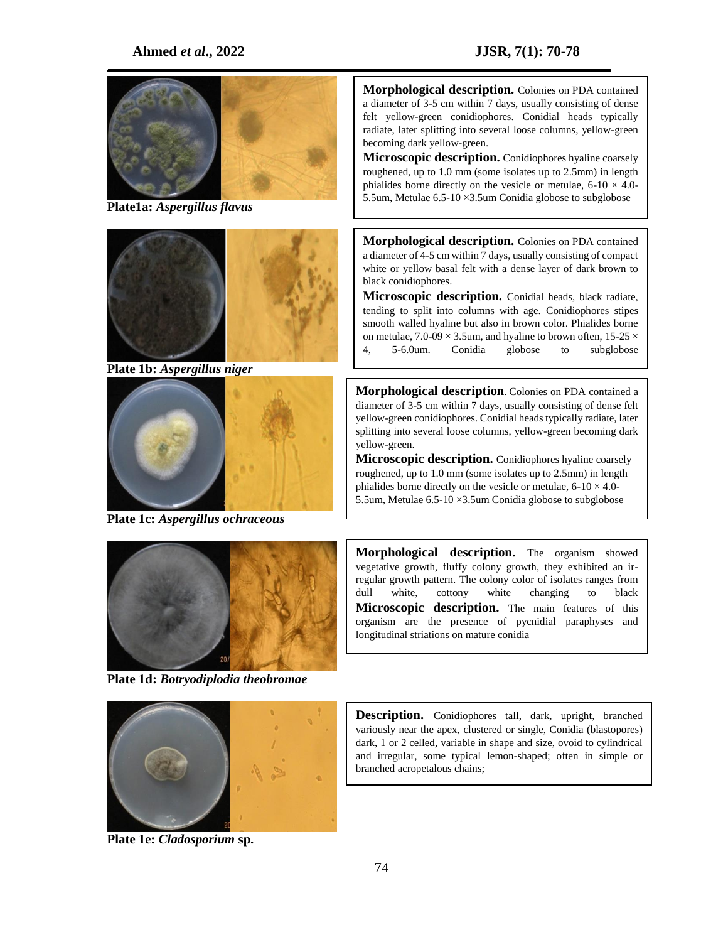### **Ahmed** *et al***., 2022 JJSR, 7(1): 70-78**



**Plate1a:** *Aspergillus flavus*



**Plate 1b:** *Aspergillus niger*



**Plate 1c:** *Aspergillus ochraceous*



**Plate 1d:** *Botryodiplodia theobromae* 

**Morphological description.** Colonies on PDA contained a diameter of 3-5 cm within 7 days, usually consisting of dense felt yellow-green conidiophores. Conidial heads typically radiate, later splitting into several loose columns, yellow-green becoming dark yellow-green.

**Microscopic description.** Conidiophores hyaline coarsely roughened, up to 1.0 mm (some isolates up to 2.5mm) in length phialides borne directly on the vesicle or metulae,  $6\n-10 \times 4.0$ -5.5um, Metulae 6.5-10 ×3.5um Conidia globose to subglobose

**Morphological description.** Colonies on PDA contained a diameter of 4-5 cm within 7 days, usually consisting of compact white or yellow basal felt with a dense layer of dark brown to black conidiophores.

**Microscopic description.** Conidial heads, black radiate, tending to split into columns with age. Conidiophores stipes smooth walled hyaline but also in brown color. Phialides borne on metulae,  $7.0\n-09 \times 3.5$ um, and hyaline to brown often,  $15\n-25 \times$ 4, 5-6.0um. Conidia globose to subglobose

**Morphological description**. Colonies on PDA contained a diameter of 3-5 cm within 7 days, usually consisting of dense felt yellow-green conidiophores. Conidial heads typically radiate, later splitting into several loose columns, yellow-green becoming dark yellow-green.

**Microscopic description.** Conidiophores hyaline coarsely roughened, up to 1.0 mm (some isolates up to 2.5mm) in length phialides borne directly on the vesicle or metulae,  $6-10 \times 4.0$ -5.5um, Metulae 6.5-10 ×3.5um Conidia globose to subglobose

**Morphological description.** The organism showed vegetative growth, fluffy colony growth, they exhibited an irregular growth pattern. The colony color of isolates ranges from dull white, cottony white changing to black **Microscopic description.** The main features of this organism are the presence of pycnidial paraphyses and longitudinal striations on mature conidia



**Plate 1e:** *Cladosporium* **sp.**

**Description.** Conidiophores tall, dark, upright, branched variously near the apex, clustered or single, Conidia (blastopores) dark, 1 or 2 celled, variable in shape and size, ovoid to cylindrical and irregular, some typical lemon-shaped; often in simple or branched acropetalous chains;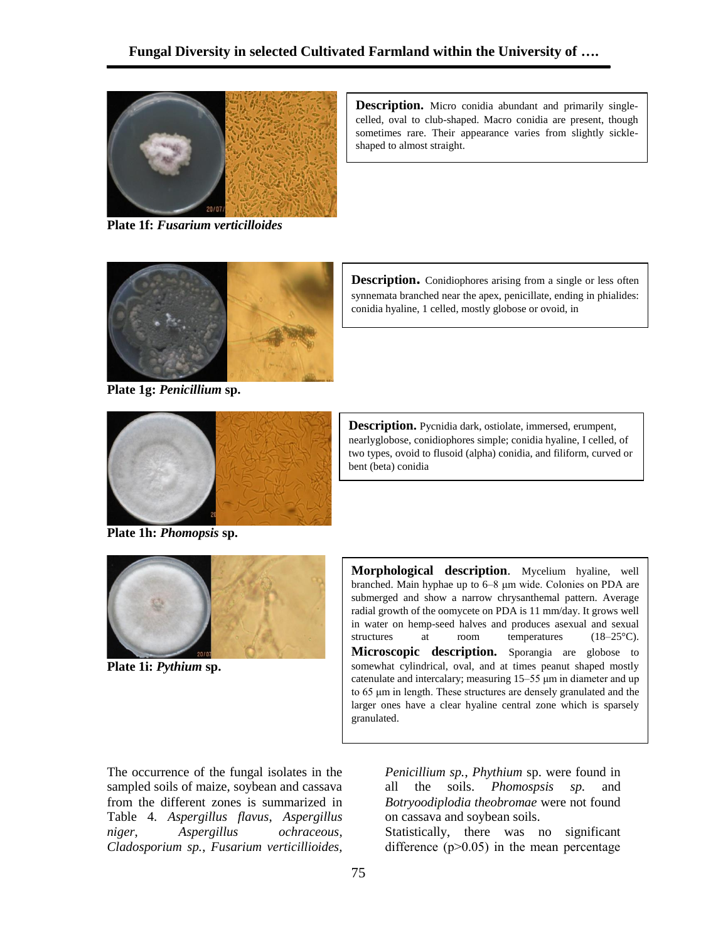shaped to almost straight.



**Plate 1f:** *Fusarium verticilloides*



**Description.** Conidiophores arising from a single or less often synnemata branched near the apex, penicillate, ending in phialides:

conidia hyaline, 1 celled, mostly globose or ovoid, in

**Description.** Micro conidia abundant and primarily singlecelled, oval to club-shaped. Macro conidia are present, though sometimes rare. Their appearance varies from slightly sickle-

**Plate 1g:** *Penicillium* **sp.**



**Description.** Pycnidia dark, ostiolate, immersed, erumpent, nearlyglobose, conidiophores simple; conidia hyaline, I celled, of two types, ovoid to flusoid (alpha) conidia, and filiform, curved or bent (beta) conidia

**Plate 1h:** *Phomopsis* **sp.**



**Plate 1i:** *Pythium* **sp.**

**Morphological description**. Mycelium hyaline, well branched. Main hyphae up to 6–8 μm wide. Colonies on PDA are submerged and show a narrow chrysanthemal pattern. Average radial growth of the oomycete on PDA is 11 mm/day. It grows well in water on hemp-seed halves and produces asexual and sexual structures at room temperatures (18–25°C). Microscopic description. Sporangia are globose to somewhat cylindrical, oval, and at times peanut shaped mostly catenulate and intercalary; measuring 15–55 μm in diameter and up to 65 μm in length. These structures are densely granulated and the larger ones have a clear hyaline central zone which is sparsely granulated.

The occurrence of the fungal isolates in the sampled soils of maize, soybean and cassava from the different zones is summarized in Table 4. *Aspergillus flavus*, *Aspergillus niger*, *Aspergillus ochraceous*, *Cladosporium sp.*, *Fusarium verticillioides,* 

*Penicillium sp.*, *Phythium* sp. were found in all the soils. *Phomospsis sp.* and *Botryoodiplodia theobromae* were not found on cassava and soybean soils.

Statistically, there was no significant difference  $(p>0.05)$  in the mean percentage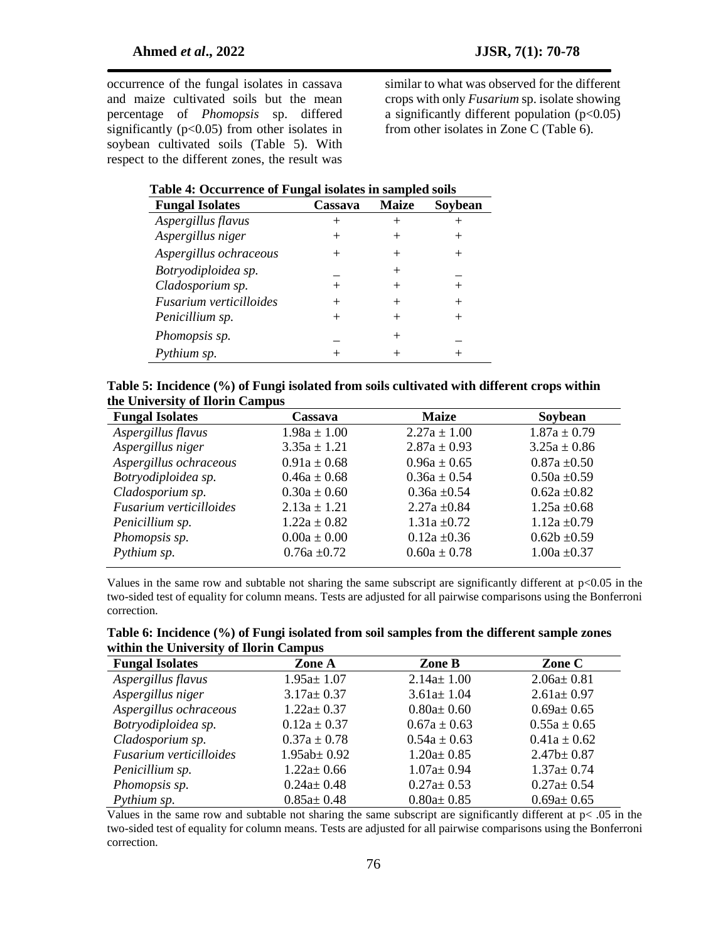occurrence of the fungal isolates in cassava and maize cultivated soils but the mean percentage of *Phomopsis* sp. differed significantly  $(p<0.05)$  from other isolates in soybean cultivated soils (Table 5). With respect to the different zones, the result was similar to what was observed for the different crops with only *Fusarium* sp. isolate showing a significantly different population  $(p<0.05)$ from other isolates in Zone C (Table 6).

| Table 4: Occurrence of Fungal isolates in sampled soils |  |  |
|---------------------------------------------------------|--|--|
|                                                         |  |  |
|                                                         |  |  |

| <b>Fungal Isolates</b>  | Cassava | <b>Maize</b> | Soybean |
|-------------------------|---------|--------------|---------|
| Aspergillus flavus      |         |              |         |
| Aspergillus niger       |         | $^+$         |         |
| Aspergillus ochraceous  |         | $\,+\,$      |         |
| Botryodiploidea sp.     |         | $^{+}$       |         |
| Cladosporium sp.        |         | $^+$         |         |
| Fusarium verticilloides |         | $^+$         |         |
| Penicillium sp.         |         |              |         |
| Phomopsis sp.           |         | $^+$         |         |
| Pythium sp.             |         |              |         |

| Table 5: Incidence (%) of Fungi isolated from soils cultivated with different crops within |
|--------------------------------------------------------------------------------------------|
| the University of Ilorin Campus                                                            |

| <b>Fungal Isolates</b>  | Cassava          | <b>Maize</b>     | Soybean          |
|-------------------------|------------------|------------------|------------------|
| Aspergillus flavus      | $1.98a \pm 1.00$ | $2.27a \pm 1.00$ | $1.87a \pm 0.79$ |
| Aspergillus niger       | $3.35a \pm 1.21$ | $2.87a \pm 0.93$ | $3.25a \pm 0.86$ |
| Aspergillus ochraceous  | $0.91a \pm 0.68$ | $0.96a \pm 0.65$ | $0.87a \pm 0.50$ |
| Botryodiploidea sp.     | $0.46a \pm 0.68$ | $0.36a \pm 0.54$ | $0.50a \pm 0.59$ |
| Cladosporium sp.        | $0.30a \pm 0.60$ | $0.36a \pm 0.54$ | $0.62a \pm 0.82$ |
| Fusarium verticilloides | $2.13a \pm 1.21$ | $2.27a \pm 0.84$ | $1.25a \pm 0.68$ |
| Penicillium sp.         | $1.22a \pm 0.82$ | $1.31a \pm 0.72$ | $1.12a \pm 0.79$ |
| Phomopsis sp.           | $0.00a \pm 0.00$ | $0.12a \pm 0.36$ | $0.62b \pm 0.59$ |
| Pythium sp.             | $0.76a \pm 0.72$ | $0.60a \pm 0.78$ | $1.00a \pm 0.37$ |

Values in the same row and subtable not sharing the same subscript are significantly different at p<0.05 in the two-sided test of equality for column means. Tests are adjusted for all pairwise comparisons using the Bonferroni correction.

| Table 6: Incidence (%) of Fungi isolated from soil samples from the different sample zones |  |  |
|--------------------------------------------------------------------------------------------|--|--|
| within the University of Ilorin Campus                                                     |  |  |

| <b>Fungal Isolates</b>  | Zone A            | Zone B           | Zone C           |
|-------------------------|-------------------|------------------|------------------|
| Aspergillus flavus      | $1.95a \pm 1.07$  | $2.14a \pm 1.00$ | $2.06a \pm 0.81$ |
| Aspergillus niger       | $3.17a \pm 0.37$  | $3.61a \pm 1.04$ | $2.61a \pm 0.97$ |
| Aspergillus ochraceous  | $1.22a \pm 0.37$  | $0.80a \pm 0.60$ | $0.69a \pm 0.65$ |
| Botryodiploidea sp.     | $0.12a \pm 0.37$  | $0.67a \pm 0.63$ | $0.55a \pm 0.65$ |
| Cladosporium sp.        | $0.37a \pm 0.78$  | $0.54a \pm 0.63$ | $0.41a \pm 0.62$ |
| Fusarium verticilloides | $1.95ab \pm 0.92$ | $1.20a \pm 0.85$ | $2.47b \pm 0.87$ |
| Penicillium sp.         | $1.22a \pm 0.66$  | $1.07a \pm 0.94$ | $1.37a \pm 0.74$ |
| Phomopsis sp.           | $0.24a \pm 0.48$  | $0.27a \pm 0.53$ | $0.27a \pm 0.54$ |
| Pythium sp.             | $0.85a \pm 0.48$  | $0.80a \pm 0.85$ | $0.69a \pm 0.65$ |

Values in the same row and subtable not sharing the same subscript are significantly different at  $p < .05$  in the two-sided test of equality for column means. Tests are adjusted for all pairwise comparisons using the Bonferroni correction.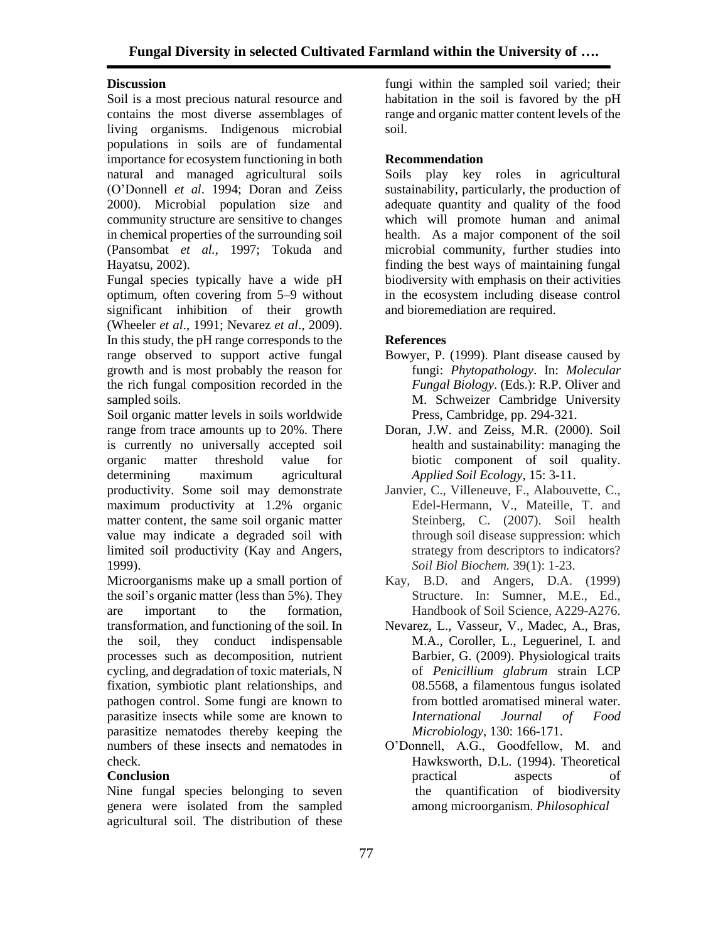## **Discussion**

Soil is a most precious natural resource and contains the most diverse assemblages of living organisms. Indigenous microbial populations in soils are of fundamental importance for ecosystem functioning in both natural and managed agricultural soils (O'Donnell *et al*. 1994; Doran and Zeiss 2000). Microbial population size and community structure are sensitive to changes in chemical properties of the surrounding soil (Pansombat *et al.,* 1997; Tokuda and Hayatsu, 2002).

Fungal species typically have a wide pH optimum, often covering from 5–9 without significant inhibition of their growth (Wheeler *et al*., 1991; Nevarez *et al*., 2009). In this study, the pH range corresponds to the range observed to support active fungal growth and is most probably the reason for the rich fungal composition recorded in the sampled soils.

Soil organic matter levels in soils worldwide range from trace amounts up to 20%. There is currently no universally accepted soil organic matter threshold value for determining maximum agricultural productivity. Some soil may demonstrate maximum productivity at 1.2% organic matter content, the same soil organic matter value may indicate a degraded soil with limited soil productivity (Kay and Angers, 1999).

Microorganisms make up a small portion of the soil's organic matter (less than 5%). They are important to the formation, transformation, and functioning of the soil. In the soil, they conduct indispensable processes such as decomposition, nutrient cycling, and degradation of toxic materials, N fixation, symbiotic plant relationships, and pathogen control. Some fungi are known to parasitize insects while some are known to parasitize nematodes thereby keeping the numbers of these insects and nematodes in check.

# **Conclusion**

Nine fungal species belonging to seven genera were isolated from the sampled agricultural soil. The distribution of these

fungi within the sampled soil varied; their habitation in the soil is favored by the pH range and organic matter content levels of the soil.

### **Recommendation**

Soils play key roles in agricultural sustainability, particularly, the production of adequate quantity and quality of the food which will promote human and animal health. As a major component of the soil microbial community, further studies into finding the best ways of maintaining fungal biodiversity with emphasis on their activities in the ecosystem including disease control and bioremediation are required.

### **References**

- Bowyer, P. (1999). Plant disease caused by fungi: *Phytopathology*. In: *Molecular Fungal Biology*. (Eds.): R.P. Oliver and M. Schweizer Cambridge University Press, Cambridge, pp. 294-321.
- Doran, J.W. and Zeiss, M.R. (2000). Soil health and sustainability: managing the biotic component of soil quality. *Applied Soil Ecology*, 15: 3-11.
- Janvier, C., Villeneuve, F., Alabouvette, C., Edel-Hermann, V., Mateille, T. and Steinberg, C. (2007). Soil health through soil disease suppression: which strategy from descriptors to indicators? *Soil Biol Biochem.* 39(1): 1-23.
- Kay, B.D. and Angers, D.A. (1999) Structure. In: Sumner, M.E., Ed., Handbook of Soil Science, A229-A276.
- Nevarez, L., Vasseur, V., Madec, A., Bras, M.A., Coroller, L., Leguerinel, I. and Barbier, G. (2009). Physiological traits of *Penicillium glabrum* strain LCP 08.5568, a filamentous fungus isolated from bottled aromatised mineral water. *International Journal of Food Microbiology*, 130: 166-171.
- O'Donnell, A.G., Goodfellow, M. and Hawksworth, D.L. (1994). Theoretical practical aspects of the quantification of biodiversity among microorganism. *Philosophical*